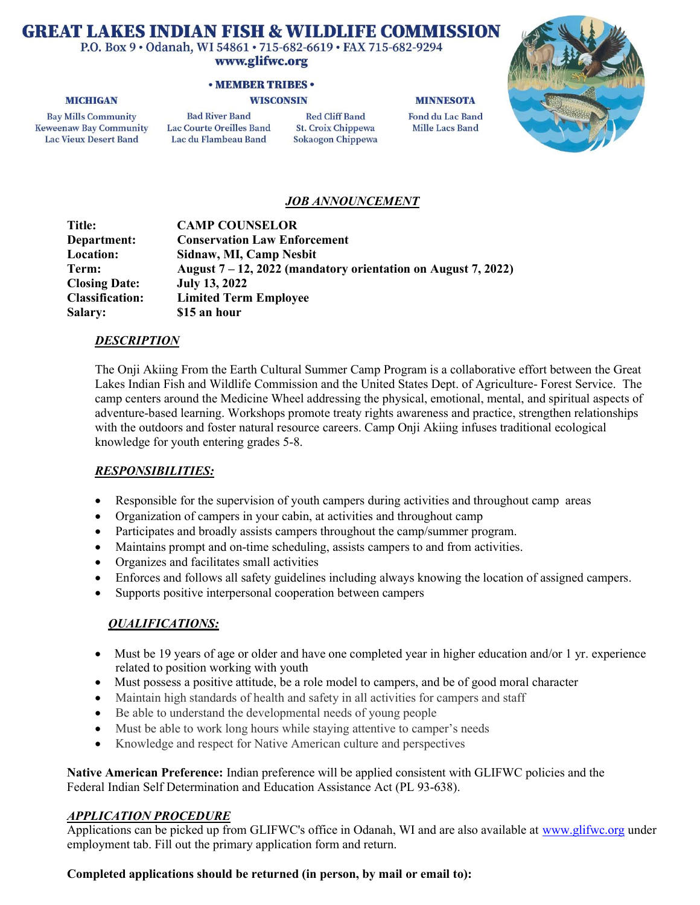# **GREAT LAKES INDIAN FISH & WILDLIFE COMMISSION**

P.O. Box 9 · Odanah, WI 54861 · 715-682-6619 · FAX 715-682-9294

#### www.glifwc.org

### **• MEMBER TRIBES •**

#### **WISCONSIN**

#### **MINNESOTA**

**Bay Mills Community Keweenaw Bay Community Lac Vieux Desert Band** 

**MICHIGAN** 

**Bad River Band Lac Courte Oreilles Band** Lac du Flambeau Band

**Red Cliff Band St. Croix Chippewa** Sokaogon Chippewa **Fond du Lac Band Mille Lacs Band** 



# JOB ANNOUNCEMENT

| Title:                 | <b>CAMP COUNSELOR</b>                                            |
|------------------------|------------------------------------------------------------------|
| Department:            | <b>Conservation Law Enforcement</b>                              |
| Location:              | Sidnaw, MI, Camp Nesbit                                          |
| Term:                  | August $7 - 12$ , 2022 (mandatory orientation on August 7, 2022) |
| <b>Closing Date:</b>   | <b>July 13, 2022</b>                                             |
| <b>Classification:</b> | <b>Limited Term Employee</b>                                     |
| <b>Salary:</b>         | \$15 an hour                                                     |

## DESCRIPTION

The Onji Akiing From the Earth Cultural Summer Camp Program is a collaborative effort between the Great Lakes Indian Fish and Wildlife Commission and the United States Dept. of Agriculture- Forest Service. The camp centers around the Medicine Wheel addressing the physical, emotional, mental, and spiritual aspects of adventure-based learning. Workshops promote treaty rights awareness and practice, strengthen relationships with the outdoors and foster natural resource careers. Camp Onji Akiing infuses traditional ecological knowledge for youth entering grades 5-8.

## RESPONSIBILITIES:

- Responsible for the supervision of youth campers during activities and throughout camp areas
- Organization of campers in your cabin, at activities and throughout camp
- Participates and broadly assists campers throughout the camp/summer program.
- Maintains prompt and on-time scheduling, assists campers to and from activities.
- Organizes and facilitates small activities
- Enforces and follows all safety guidelines including always knowing the location of assigned campers.
- Supports positive interpersonal cooperation between campers

# QUALIFICATIONS:

- Must be 19 years of age or older and have one completed year in higher education and/or 1 yr. experience related to position working with youth
- Must possess a positive attitude, be a role model to campers, and be of good moral character
- Maintain high standards of health and safety in all activities for campers and staff
- Be able to understand the developmental needs of young people
- Must be able to work long hours while staying attentive to camper's needs
- Knowledge and respect for Native American culture and perspectives

Native American Preference: Indian preference will be applied consistent with GLIFWC policies and the Federal Indian Self Determination and Education Assistance Act (PL 93-638).

# APPLICATION PROCEDURE

Applications can be picked up from GLIFWC's office in Odanah, WI and are also available at www.glifwc.org under employment tab. Fill out the primary application form and return.

# Completed applications should be returned (in person, by mail or email to):